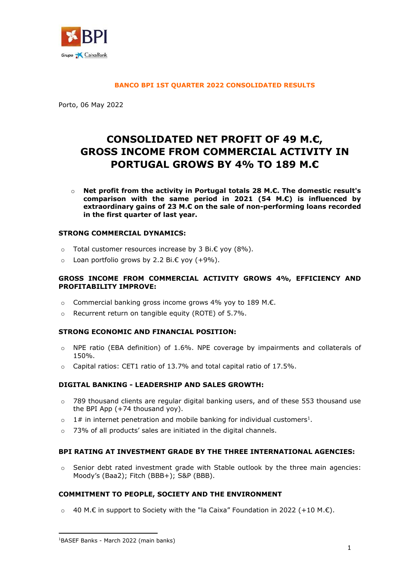

#### **BANCO BPI 1ST QUARTER 2022 CONSOLIDATED RESULTS**

Porto, 06 May 2022

# **CONSOLIDATED NET PROFIT OF 49 M.€, GROSS INCOME FROM COMMERCIAL ACTIVITY IN PORTUGAL GROWS BY 4% TO 189 M.€**

o **Net profit from the activity in Portugal totals 28 M.€. The domestic result's comparison with the same period in 2021 (54 M.€) is influenced by extraordinary gains of 23 M.€ on the sale of non-performing loans recorded in the first quarter of last year.**

## **STRONG COMMERCIAL DYNAMICS:**

- o Total customer resources increase by 3 Bi.€ yoy (8%).
- o Loan portfolio grows by 2.2 Bi.€ yoy (+9%).

#### **GROSS INCOME FROM COMMERCIAL ACTIVITY GROWS 4%, EFFICIENCY AND PROFITABILITY IMPROVE:**

- o Commercial banking gross income grows 4% yoy to 189 M.€.
- o Recurrent return on tangible equity (ROTE) of 5.7%.

## **STRONG ECONOMIC AND FINANCIAL POSITION:**

- $\circ$  NPE ratio (EBA definition) of 1.6%. NPE coverage by impairments and collaterals of 150%.
- o Capital ratios: CET1 ratio of 13.7% and total capital ratio of 17.5%.

## **DIGITAL BANKING - LEADERSHIP AND SALES GROWTH:**

- $\circ$  789 thousand clients are regular digital banking users, and of these 553 thousand use the BPI App (+74 thousand yoy).
- $\circ$  1# in internet penetration and mobile banking for individual customers<sup>1</sup>.
- 73% of all products' sales are initiated in the digital channels.

## **BPI RATING AT INVESTMENT GRADE BY THE THREE INTERNATIONAL AGENCIES:**

Senior debt rated investment grade with Stable outlook by the three main agencies: Moody's (Baa2); Fitch (BBB+); S&P (BBB).

## **COMMITMENT TO PEOPLE, SOCIETY AND THE ENVIRONMENT**

 $\circ$  40 M.€ in support to Society with the "la Caixa" Foundation in 2022 (+10 M.€).

**.** 

<sup>1</sup>BASEF Banks - March 2022 (main banks)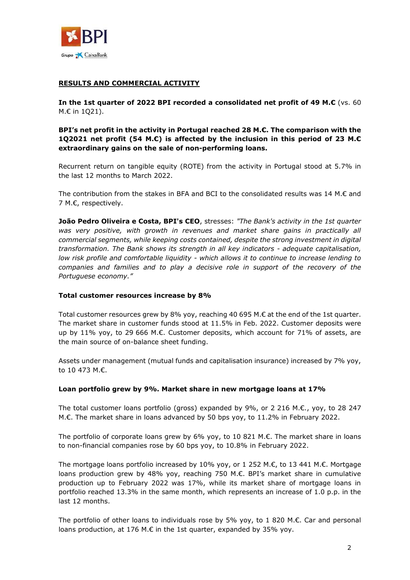

# **RESULTS AND COMMERCIAL ACTIVITY**

**In the 1st quarter of 2022 BPI recorded a consolidated net profit of 49 M.€** (vs. 60 M.€ in 1Q21).

**BPI's net profit in the activity in Portugal reached 28 M.€. The comparison with the 1Q2021 net profit (54 M.€) is affected by the inclusion in this period of 23 M.€ extraordinary gains on the sale of non-performing loans.**

Recurrent return on tangible equity (ROTE) from the activity in Portugal stood at 5.7% in the last 12 months to March 2022.

The contribution from the stakes in BFA and BCI to the consolidated results was 14 M.€ and 7 M.€, respectively.

**João Pedro Oliveira e Costa, BPI's CEO**, stresses: *"The Bank's activity in the 1st quarter*  was very positive, with growth in revenues and market share gains in practically all *commercial segments, while keeping costs contained, despite the strong investment in digital transformation. The Bank shows its strength in all key indicators - adequate capitalisation, low risk profile and comfortable liquidity - which allows it to continue to increase lending to companies and families and to play a decisive role in support of the recovery of the Portuguese economy."*

## **Total customer resources increase by 8%**

Total customer resources grew by 8% yoy, reaching 40 695 M.€ at the end of the 1st quarter. The market share in customer funds stood at 11.5% in Feb. 2022. Customer deposits were up by 11% yoy, to 29 666 M.€. Customer deposits, which account for 71% of assets, are the main source of on-balance sheet funding.

Assets under management (mutual funds and capitalisation insurance) increased by 7% yoy, to 10 473 M.€.

## **Loan portfolio grew by 9%. Market share in new mortgage loans at 17%**

The total customer loans portfolio (gross) expanded by 9%, or 2 216 M.€., yoy, to 28 247 M.€. The market share in loans advanced by 50 bps yoy, to 11.2% in February 2022.

The portfolio of corporate loans grew by 6% yoy, to 10 821 M. $\epsilon$ . The market share in loans to non-financial companies rose by 60 bps yoy, to 10.8% in February 2022.

The mortgage loans portfolio increased by 10% yoy, or 1 252 M.€, to 13 441 M.€. Mortgage loans production grew by 48% yoy, reaching 750 M.€. BPI's market share in cumulative production up to February 2022 was 17%, while its market share of mortgage loans in portfolio reached 13.3% in the same month, which represents an increase of 1.0 p.p. in the last 12 months.

The portfolio of other loans to individuals rose by 5% yoy, to 1 820 M. $\epsilon$ . Car and personal loans production, at 176 M.€ in the 1st quarter, expanded by 35% yoy.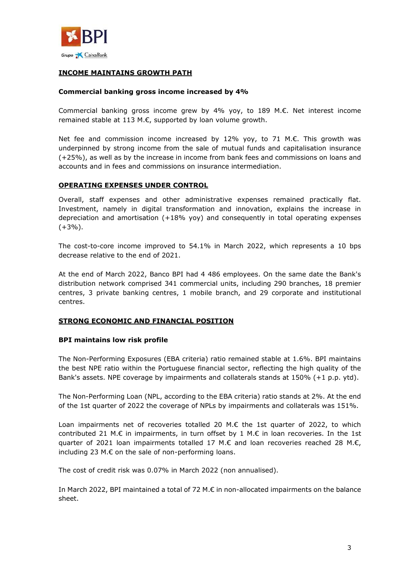

## **INCOME MAINTAINS GROWTH PATH**

#### **Commercial banking gross income increased by 4%**

Commercial banking gross income grew by 4% yoy, to 189 M.€. Net interest income remained stable at 113 M.€, supported by loan volume growth.

Net fee and commission income increased by 12% yoy, to 71 M.€. This growth was underpinned by strong income from the sale of mutual funds and capitalisation insurance (+25%), as well as by the increase in income from bank fees and commissions on loans and accounts and in fees and commissions on insurance intermediation.

#### **OPERATING EXPENSES UNDER CONTROL**

Overall, staff expenses and other administrative expenses remained practically flat. Investment, namely in digital transformation and innovation, explains the increase in depreciation and amortisation (+18% yoy) and consequently in total operating expenses  $(+3%)$ .

The cost-to-core income improved to 54.1% in March 2022, which represents a 10 bps decrease relative to the end of 2021.

At the end of March 2022, Banco BPI had 4 486 employees. On the same date the Bank's distribution network comprised 341 commercial units, including 290 branches, 18 premier centres, 3 private banking centres, 1 mobile branch, and 29 corporate and institutional centres.

#### **STRONG ECONOMIC AND FINANCIAL POSITION**

#### **BPI maintains low risk profile**

The Non-Performing Exposures (EBA criteria) ratio remained stable at 1.6%. BPI maintains the best NPE ratio within the Portuguese financial sector, reflecting the high quality of the Bank's assets. NPE coverage by impairments and collaterals stands at 150% (+1 p.p. ytd).

The Non-Performing Loan (NPL, according to the EBA criteria) ratio stands at 2%. At the end of the 1st quarter of 2022 the coverage of NPLs by impairments and collaterals was 151%.

Loan impairments net of recoveries totalled 20 M.€ the 1st quarter of 2022, to which contributed 21 M. $\epsilon$  in impairments, in turn offset by 1 M. $\epsilon$  in loan recoveries. In the 1st quarter of 2021 loan impairments totalled 17 M.€ and loan recoveries reached 28 M.€, including 23 M.€ on the sale of non-performing loans.

The cost of credit risk was 0.07% in March 2022 (non annualised).

In March 2022, BPI maintained a total of 72 M.€ in non-allocated impairments on the balance sheet.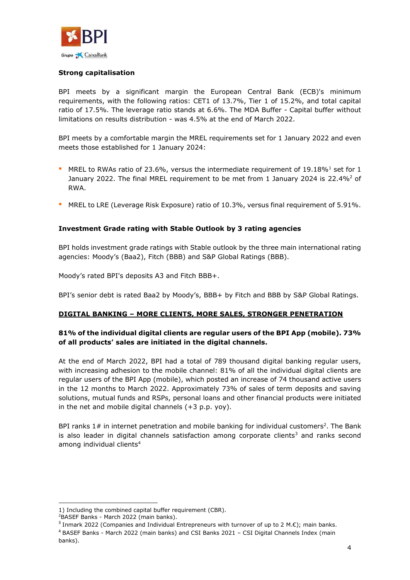

## **Strong capitalisation**

BPI meets by a significant margin the European Central Bank (ECB)'s minimum requirements, with the following ratios: CET1 of 13.7%, Tier 1 of 15.2%, and total capital ratio of 17.5%. The leverage ratio stands at 6.6%. The MDA Buffer - Capital buffer without limitations on results distribution - was 4.5% at the end of March 2022.

BPI meets by a comfortable margin the MREL requirements set for 1 January 2022 and even meets those established for 1 January 2024:

- **MREL to RWAs ratio of 23.6%, versus the intermediate requirement of 19.18%** set for 1 January 2022. The final MREL requirement to be met from 1 January 2024 is 22.4% $^2$  of RWA.
- **MREL to LRE (Leverage Risk Exposure) ratio of 10.3%, versus final requirement of 5.91%.**

## **Investment Grade rating with Stable Outlook by 3 rating agencies**

BPI holds investment grade ratings with Stable outlook by the three main international rating agencies: Moody's (Baa2), Fitch (BBB) and S&P Global Ratings (BBB).

Moody's rated BPI's deposits A3 and Fitch BBB+.

BPI's senior debt is rated Baa2 by Moody's, BBB+ by Fitch and BBB by S&P Global Ratings.

## **DIGITAL BANKING – MORE CLIENTS, MORE SALES, STRONGER PENETRATION**

## **81% of the individual digital clients are regular users of the BPI App (mobile). 73% of all products' sales are initiated in the digital channels.**

At the end of March 2022, BPI had a total of 789 thousand digital banking regular users, with increasing adhesion to the mobile channel: 81% of all the individual digital clients are regular users of the BPI App (mobile), which posted an increase of 74 thousand active users in the 12 months to March 2022. Approximately 73% of sales of term deposits and saving solutions, mutual funds and RSPs, personal loans and other financial products were initiated in the net and mobile digital channels (+3 p.p. yoy).

BPI ranks  $1#$  in internet penetration and mobile banking for individual customers<sup>2</sup>. The Bank is also leader in digital channels satisfaction among corporate clients<sup>3</sup> and ranks second among individual clients<sup>4</sup>

 $\overline{a}$ 

<sup>1)</sup> Including the combined capital buffer requirement (CBR).

<sup>&</sup>lt;sup>2</sup>BASEF Banks - March 2022 (main banks).

<sup>&</sup>lt;sup>3</sup> Inmark 2022 (Companies and Individual Entrepreneurs with turnover of up to 2 M.€); main banks. <sup>4</sup> BASEF Banks - March 2022 (main banks) and CSI Banks 2021 – CSI Digital Channels Index (main banks).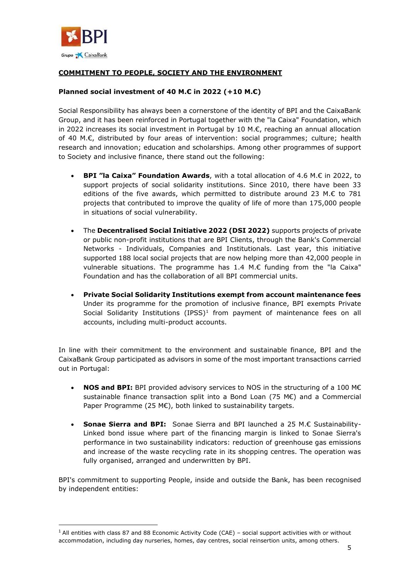

**.** 

# **COMMITMENT TO PEOPLE, SOCIETY AND THE ENVIRONMENT**

## **Planned social investment of 40 M.€ in 2022 (+10 M.€)**

Social Responsibility has always been a cornerstone of the identity of BPI and the CaixaBank Group, and it has been reinforced in Portugal together with the "la Caixa" Foundation, which in 2022 increases its social investment in Portugal by 10 M.€, reaching an annual allocation of 40 M.€, distributed by four areas of intervention: social programmes; culture; health research and innovation; education and scholarships. Among other programmes of support to Society and inclusive finance, there stand out the following:

- **BPI "la Caixa" Foundation Awards**, with a total allocation of 4.6 M.€ in 2022, to support projects of social solidarity institutions. Since 2010, there have been 33 editions of the five awards, which permitted to distribute around 23 M. $\epsilon$  to 781 projects that contributed to improve the quality of life of more than 175,000 people in situations of social vulnerability.
- The **Decentralised Social Initiative 2022 (DSI 2022)** supports projects of private or public non-profit institutions that are BPI Clients, through the Bank's Commercial Networks - Individuals, Companies and Institutionals. Last year, this initiative supported 188 local social projects that are now helping more than 42,000 people in vulnerable situations. The programme has 1.4 M.€ funding from the "la Caixa" Foundation and has the collaboration of all BPI commercial units.
- **Private Social Solidarity Institutions exempt from account maintenance fees** Under its programme for the promotion of inclusive finance, BPI exempts Private Social Solidarity Institutions  $(IPSS)^1$  from payment of maintenance fees on all accounts, including multi-product accounts.

In line with their commitment to the environment and sustainable finance, BPI and the CaixaBank Group participated as advisors in some of the most important transactions carried out in Portugal:

- **NOS and BPI:** BPI provided advisory services to NOS in the structuring of a 100 M€ sustainable finance transaction split into a Bond Loan (75 M€) and a Commercial Paper Programme (25 M€), both linked to sustainability targets.
- **Sonae Sierra and BPI:** Sonae Sierra and BPI launched a 25 M.€ Sustainability-Linked bond issue where part of the financing margin is linked to Sonae Sierra's performance in two sustainability indicators: reduction of greenhouse gas emissions and increase of the waste recycling rate in its shopping centres. The operation was fully organised, arranged and underwritten by BPI.

BPI's commitment to supporting People, inside and outside the Bank, has been recognised by independent entities:

 $1$  All entities with class 87 and 88 Economic Activity Code (CAE) – social support activities with or without accommodation, including day nurseries, homes, day centres, social reinsertion units, among others.